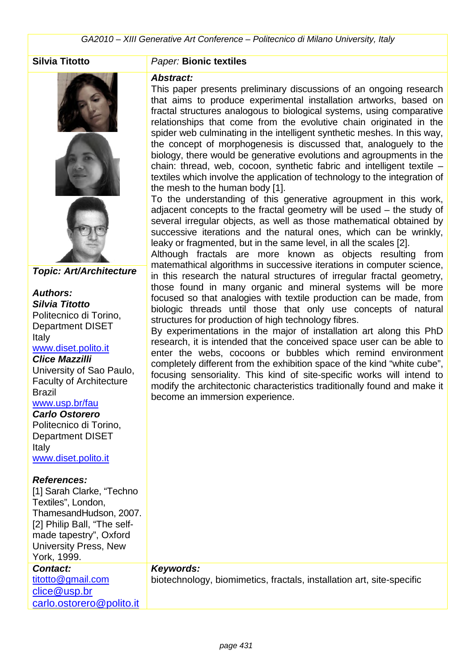

**Topic: Art/Architecture** 

#### **Authors: Silvia Titotto**  Politecnico di Torino, Department DISET Italy www.diset.polito.it

#### **Clice Mazzilli**

University of Sao Paulo, Faculty of Architecture Brazil www.usp.br/fau

## **Carlo Ostorero**

Politecnico di Torino, Department DISET Italy www.diset.polito.it

#### **References:**

[1] Sarah Clarke, "Techno Textiles", London, ThamesandHudson, 2007. [2] Philip Ball, "The selfmade tapestry", Oxford University Press, New York, 1999. **Contact:**  titotto@gmail.com clice@usp.br

carlo.ostorero@polito.it

#### **Silvia Titotto** Paper: **Bionic textiles**

#### **Abstract:**

This paper presents preliminary discussions of an ongoing research that aims to produce experimental installation artworks, based on fractal structures analogous to biological systems, using comparative relationships that come from the evolutive chain originated in the spider web culminating in the intelligent synthetic meshes. In this way, the concept of morphogenesis is discussed that, analoguely to the biology, there would be generative evolutions and agroupments in the chain: thread, web, cocoon, synthetic fabric and intelligent textile – textiles which involve the application of technology to the integration of the mesh to the human body [1].

To the understanding of this generative agroupment in this work, adjacent concepts to the fractal geometry will be used – the study of several irregular objects, as well as those mathematical obtained by successive iterations and the natural ones, which can be wrinkly, leaky or fragmented, but in the same level, in all the scales [2].

Although fractals are more known as objects resulting from matemathical algorithms in successive iterations in computer science, in this research the natural structures of irregular fractal geometry, those found in many organic and mineral systems will be more focused so that analogies with textile production can be made, from biologic threads until those that only use concepts of natural structures for production of high technology fibres.

By experimentations in the major of installation art along this PhD research, it is intended that the conceived space user can be able to enter the webs, cocoons or bubbles which remind environment completely different from the exhibition space of the kind "white cube", focusing sensoriality. This kind of site-specific works will intend to modify the architectonic characteristics traditionally found and make it become an immersion experience.

#### **Keywords:**

biotechnology, biomimetics, fractals, installation art, site-specific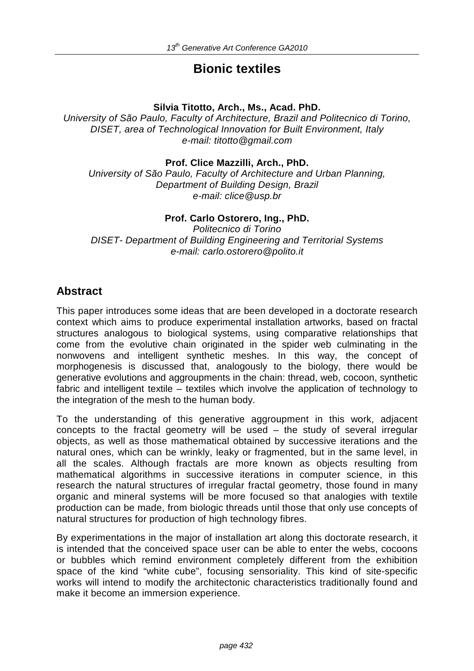# **Bionic textiles**

## **Silvia Titotto, Arch., Ms., Acad. PhD.**

University of São Paulo, Faculty of Architecture, Brazil and Politecnico di Torino, DISET, area of Technological Innovation for Built Environment, Italy e-mail: titotto@gmail.com

## **Prof. Clice Mazzilli, Arch., PhD.**

University of São Paulo, Faculty of Architecture and Urban Planning, Department of Building Design, Brazil e-mail: clice@usp.br

## **Prof. Carlo Ostorero, Ing., PhD.**

Politecnico di Torino DISET- Department of Building Engineering and Territorial Systems e-mail: carlo.ostorero@polito.it

## **Abstract**

This paper introduces some ideas that are been developed in a doctorate research context which aims to produce experimental installation artworks, based on fractal structures analogous to biological systems, using comparative relationships that come from the evolutive chain originated in the spider web culminating in the nonwovens and intelligent synthetic meshes. In this way, the concept of morphogenesis is discussed that, analogously to the biology, there would be generative evolutions and aggroupments in the chain: thread, web, cocoon, synthetic fabric and intelligent textile – textiles which involve the application of technology to the integration of the mesh to the human body.

To the understanding of this generative aggroupment in this work, adjacent concepts to the fractal geometry will be used  $-$  the study of several irregular objects, as well as those mathematical obtained by successive iterations and the natural ones, which can be wrinkly, leaky or fragmented, but in the same level, in all the scales. Although fractals are more known as objects resulting from mathematical algorithms in successive iterations in computer science, in this research the natural structures of irregular fractal geometry, those found in many organic and mineral systems will be more focused so that analogies with textile production can be made, from biologic threads until those that only use concepts of natural structures for production of high technology fibres.

By experimentations in the major of installation art along this doctorate research, it is intended that the conceived space user can be able to enter the webs, cocoons or bubbles which remind environment completely different from the exhibition space of the kind "white cube", focusing sensoriality. This kind of site-specific works will intend to modify the architectonic characteristics traditionally found and make it become an immersion experience.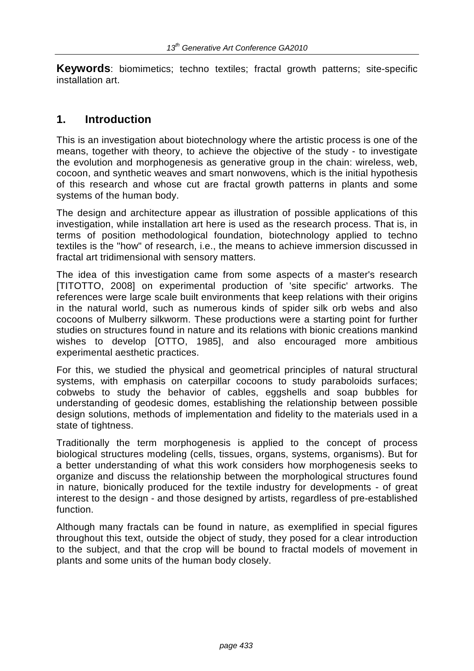**Keywords**: biomimetics; techno textiles; fractal growth patterns; site-specific installation art.

## **1. Introduction**

This is an investigation about biotechnology where the artistic process is one of the means, together with theory, to achieve the objective of the study - to investigate the evolution and morphogenesis as generative group in the chain: wireless, web, cocoon, and synthetic weaves and smart nonwovens, which is the initial hypothesis of this research and whose cut are fractal growth patterns in plants and some systems of the human body.

The design and architecture appear as illustration of possible applications of this investigation, while installation art here is used as the research process. That is, in terms of position methodological foundation, biotechnology applied to techno textiles is the "how" of research, i.e., the means to achieve immersion discussed in fractal art tridimensional with sensory matters.

The idea of this investigation came from some aspects of a master's research [TITOTTO, 2008] on experimental production of 'site specific' artworks. The references were large scale built environments that keep relations with their origins in the natural world, such as numerous kinds of spider silk orb webs and also cocoons of Mulberry silkworm. These productions were a starting point for further studies on structures found in nature and its relations with bionic creations mankind wishes to develop [OTTO, 1985], and also encouraged more ambitious experimental aesthetic practices.

For this, we studied the physical and geometrical principles of natural structural systems, with emphasis on caterpillar cocoons to study paraboloids surfaces; cobwebs to study the behavior of cables, eggshells and soap bubbles for understanding of geodesic domes, establishing the relationship between possible design solutions, methods of implementation and fidelity to the materials used in a state of tightness.

Traditionally the term morphogenesis is applied to the concept of process biological structures modeling (cells, tissues, organs, systems, organisms). But for a better understanding of what this work considers how morphogenesis seeks to organize and discuss the relationship between the morphological structures found in nature, bionically produced for the textile industry for developments - of great interest to the design - and those designed by artists, regardless of pre-established function.

Although many fractals can be found in nature, as exemplified in special figures throughout this text, outside the object of study, they posed for a clear introduction to the subject, and that the crop will be bound to fractal models of movement in plants and some units of the human body closely.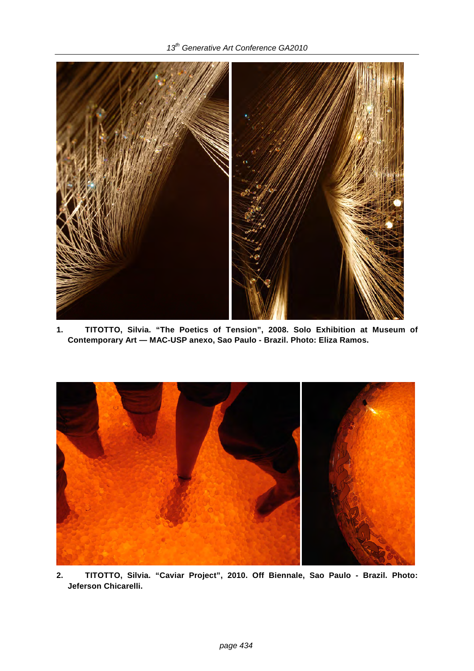## 13<sup>th</sup> Generative Art Conference GA2010



**1. TITOTTO, Silvia. "The Poetics of Tension", 2008. Solo Exhibition at Museum of Contemporary Art — MAC-USP anexo, Sao Paulo - Brazil. Photo: Eliza Ramos.** 



**2. TITOTTO, Silvia. "Caviar Project", 2010. Off Biennale, Sao Paulo - Brazil. Photo: Jeferson Chicarelli.**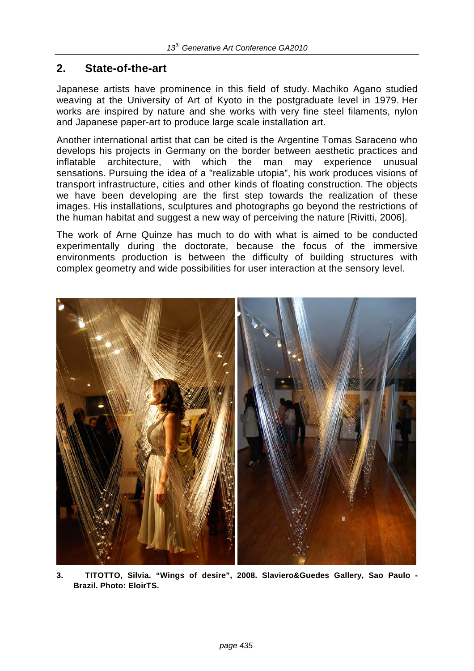# **2. State-of-the-art**

Japanese artists have prominence in this field of study. Machiko Agano studied weaving at the University of Art of Kyoto in the postgraduate level in 1979. Her works are inspired by nature and she works with very fine steel filaments, nylon and Japanese paper-art to produce large scale installation art.

Another international artist that can be cited is the Argentine Tomas Saraceno who develops his projects in Germany on the border between aesthetic practices and inflatable architecture, with which the man may experience unusual sensations. Pursuing the idea of a "realizable utopia", his work produces visions of transport infrastructure, cities and other kinds of floating construction. The objects we have been developing are the first step towards the realization of these images. His installations, sculptures and photographs go beyond the restrictions of the human habitat and suggest a new way of perceiving the nature [Rivitti, 2006].

The work of Arne Quinze has much to do with what is aimed to be conducted experimentally during the doctorate, because the focus of the immersive environments production is between the difficulty of building structures with complex geometry and wide possibilities for user interaction at the sensory level.



**3. TITOTTO, Silvia. "Wings of desire", 2008. Slaviero&Guedes Gallery, Sao Paulo - Brazil. Photo: EloirTS.**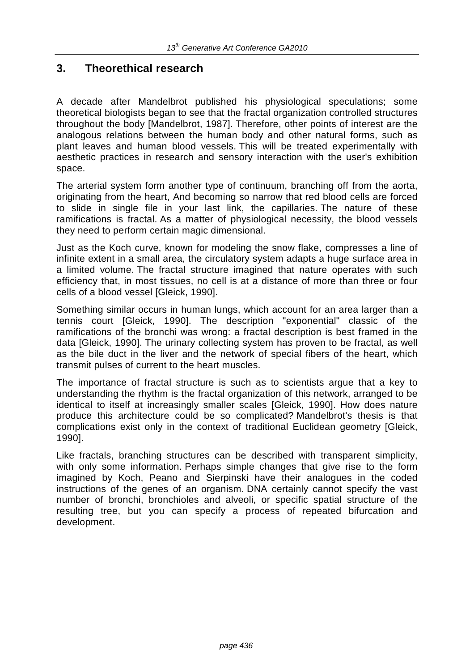# **3. Theorethical research**

A decade after Mandelbrot published his physiological speculations; some theoretical biologists began to see that the fractal organization controlled structures throughout the body [Mandelbrot, 1987]. Therefore, other points of interest are the analogous relations between the human body and other natural forms, such as plant leaves and human blood vessels. This will be treated experimentally with aesthetic practices in research and sensory interaction with the user's exhibition space.

The arterial system form another type of continuum, branching off from the aorta, originating from the heart, And becoming so narrow that red blood cells are forced to slide in single file in your last link, the capillaries. The nature of these ramifications is fractal. As a matter of physiological necessity, the blood vessels they need to perform certain magic dimensional.

Just as the Koch curve, known for modeling the snow flake, compresses a line of infinite extent in a small area, the circulatory system adapts a huge surface area in a limited volume. The fractal structure imagined that nature operates with such efficiency that, in most tissues, no cell is at a distance of more than three or four cells of a blood vessel [Gleick, 1990].

Something similar occurs in human lungs, which account for an area larger than a tennis court [Gleick, 1990]. The description "exponential" classic of the ramifications of the bronchi was wrong: a fractal description is best framed in the data [Gleick, 1990]. The urinary collecting system has proven to be fractal, as well as the bile duct in the liver and the network of special fibers of the heart, which transmit pulses of current to the heart muscles.

The importance of fractal structure is such as to scientists argue that a key to understanding the rhythm is the fractal organization of this network, arranged to be identical to itself at increasingly smaller scales [Gleick, 1990]. How does nature produce this architecture could be so complicated? Mandelbrot's thesis is that complications exist only in the context of traditional Euclidean geometry [Gleick, 1990].

Like fractals, branching structures can be described with transparent simplicity, with only some information. Perhaps simple changes that give rise to the form imagined by Koch, Peano and Sierpinski have their analogues in the coded instructions of the genes of an organism. DNA certainly cannot specify the vast number of bronchi, bronchioles and alveoli, or specific spatial structure of the resulting tree, but you can specify a process of repeated bifurcation and development.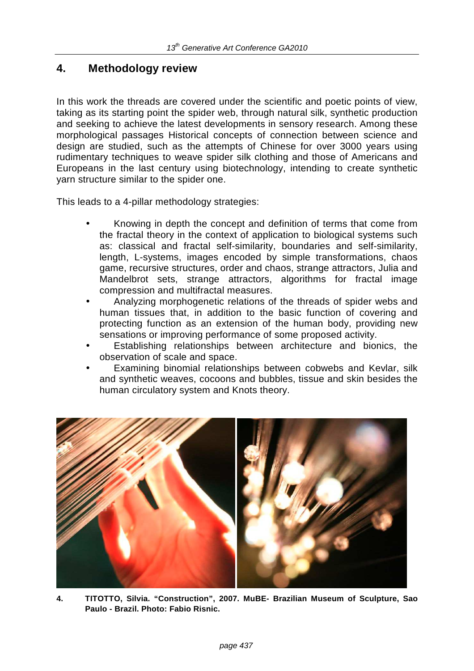# **4. Methodology review**

In this work the threads are covered under the scientific and poetic points of view, taking as its starting point the spider web, through natural silk, synthetic production and seeking to achieve the latest developments in sensory research. Among these morphological passages Historical concepts of connection between science and design are studied, such as the attempts of Chinese for over 3000 years using rudimentary techniques to weave spider silk clothing and those of Americans and Europeans in the last century using biotechnology, intending to create synthetic yarn structure similar to the spider one.

This leads to a 4-pillar methodology strategies:

- Knowing in depth the concept and definition of terms that come from the fractal theory in the context of application to biological systems such as: classical and fractal self-similarity, boundaries and self-similarity, length, L-systems, images encoded by simple transformations, chaos game, recursive structures, order and chaos, strange attractors, Julia and Mandelbrot sets, strange attractors, algorithms for fractal image compression and multifractal measures.
- Analyzing morphogenetic relations of the threads of spider webs and human tissues that, in addition to the basic function of covering and protecting function as an extension of the human body, providing new sensations or improving performance of some proposed activity.
- Establishing relationships between architecture and bionics, the observation of scale and space.
- Examining binomial relationships between cobwebs and Kevlar, silk and synthetic weaves, cocoons and bubbles, tissue and skin besides the human circulatory system and Knots theory.



**4. TITOTTO, Silvia. "Construction", 2007. MuBE- Brazilian Museum of Sculpture, Sao Paulo - Brazil. Photo: Fabio Risnic.**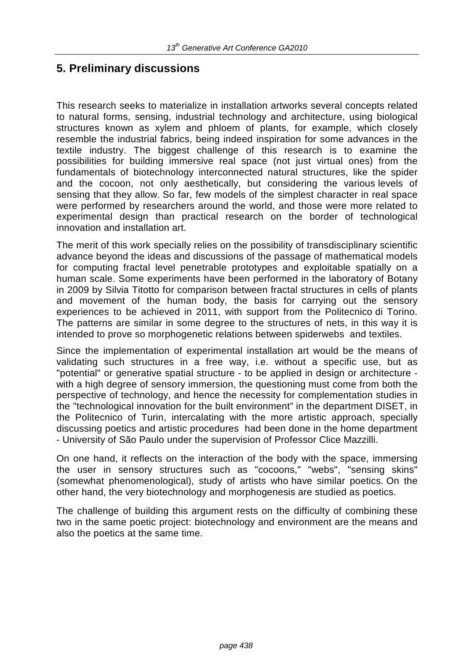# **5. Preliminary discussions**

This research seeks to materialize in installation artworks several concepts related to natural forms, sensing, industrial technology and architecture, using biological structures known as xylem and phloem of plants, for example, which closely resemble the industrial fabrics, being indeed inspiration for some advances in the textile industry. The biggest challenge of this research is to examine the possibilities for building immersive real space (not just virtual ones) from the fundamentals of biotechnology interconnected natural structures, like the spider and the cocoon, not only aesthetically, but considering the various levels of sensing that they allow. So far, few models of the simplest character in real space were performed by researchers around the world, and those were more related to experimental design than practical research on the border of technological innovation and installation art.

The merit of this work specially relies on the possibility of transdisciplinary scientific advance beyond the ideas and discussions of the passage of mathematical models for computing fractal level penetrable prototypes and exploitable spatially on a human scale. Some experiments have been performed in the laboratory of Botany in 2009 by Silvia Titotto for comparison between fractal structures in cells of plants and movement of the human body, the basis for carrying out the sensory experiences to be achieved in 2011, with support from the Politecnico di Torino. The patterns are similar in some degree to the structures of nets, in this way it is intended to prove so morphogenetic relations between spiderwebs and textiles.

Since the implementation of experimental installation art would be the means of validating such structures in a free way, i.e. without a specific use, but as "potential" or generative spatial structure - to be applied in design or architecture with a high degree of sensory immersion, the questioning must come from both the perspective of technology, and hence the necessity for complementation studies in the "technological innovation for the built environment" in the department DISET, in the Politecnico of Turin, intercalating with the more artistic approach, specially discussing poetics and artistic procedures had been done in the home department - University of São Paulo under the supervision of Professor Clice Mazzilli.

On one hand, it reflects on the interaction of the body with the space, immersing the user in sensory structures such as "cocoons," "webs", "sensing skins" (somewhat phenomenological), study of artists who have similar poetics. On the other hand, the very biotechnology and morphogenesis are studied as poetics.

The challenge of building this argument rests on the difficulty of combining these two in the same poetic project: biotechnology and environment are the means and also the poetics at the same time.